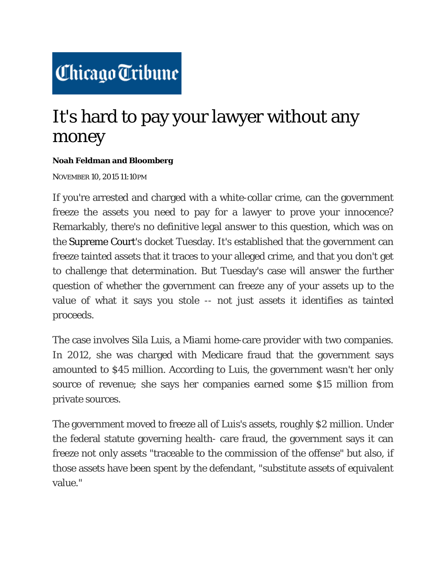## Chicago Tribune

## It's hard to pay your lawyer without any money

## **Noah Feldman and Bloomberg**

NOVEMBER 10, 2015 11:10PM

If you're arrested and charged with a white-collar crime, can the government freeze the assets you need to pay for a lawyer to prove your innocence? Remarkably, there's no definitive legal answer to this question, which was on the Supreme Court's docket Tuesday. It's established that the government can freeze tainted assets that it traces to your alleged crime, and that you don't get to challenge that determination. But Tuesday's case will answer the further question of whether the government can freeze any of your assets up to the value of what it says you stole -- not just assets it identifies as tainted proceeds.

The case involves Sila Luis, a Miami home-care provider with two companies. In 2012, she was charged with Medicare fraud that the government says amounted to \$45 million. According to Luis, the government wasn't her only source of revenue; she says her companies earned some \$15 million from private sources.

The government moved to freeze all of Luis's assets, roughly \$2 million. Under the federal statute governing health- care fraud, the government says it can freeze not only assets "traceable to the commission of the offense" but also, if those assets have been spent by the defendant, "substitute assets of equivalent value."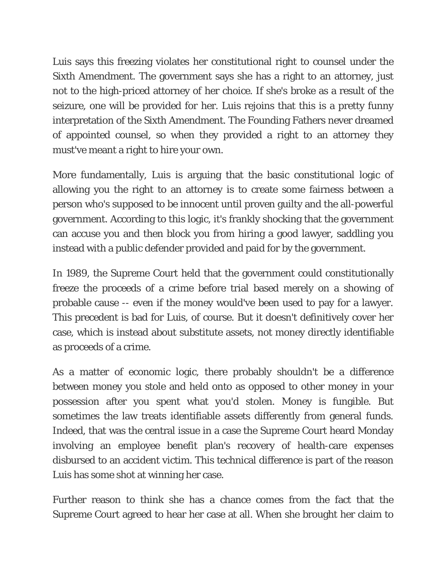Luis says this freezing violates her constitutional right to counsel under the Sixth Amendment. The government says she has a right to an attorney, just not to the high-priced attorney of her choice. If she's broke as a result of the seizure, one will be provided for her. Luis rejoins that this is a pretty funny interpretation of the Sixth Amendment. The Founding Fathers never dreamed of appointed counsel, so when they provided a right to an attorney they must've meant a right to hire your own.

More fundamentally, Luis is arguing that the basic constitutional logic of allowing you the right to an attorney is to create some fairness between a person who's supposed to be innocent until proven guilty and the all-powerful government. According to this logic, it's frankly shocking that the government can accuse you and then block you from hiring a good lawyer, saddling you instead with a public defender provided and paid for by the government.

In 1989, the Supreme Court held that the government could constitutionally freeze the proceeds of a crime before trial based merely on a showing of probable cause -- even if the money would've been used to pay for a lawyer. This precedent is bad for Luis, of course. But it doesn't definitively cover her case, which is instead about substitute assets, not money directly identifiable as proceeds of a crime.

As a matter of economic logic, there probably shouldn't be a difference between money you stole and held onto as opposed to other money in your possession after you spent what you'd stolen. Money is fungible. But sometimes the law treats identifiable assets differently from general funds. Indeed, that was the central issue in a case the Supreme Court heard Monday involving an employee benefit plan's recovery of health-care expenses disbursed to an accident victim. This technical difference is part of the reason Luis has some shot at winning her case.

Further reason to think she has a chance comes from the fact that the Supreme Court agreed to hear her case at all. When she brought her claim to